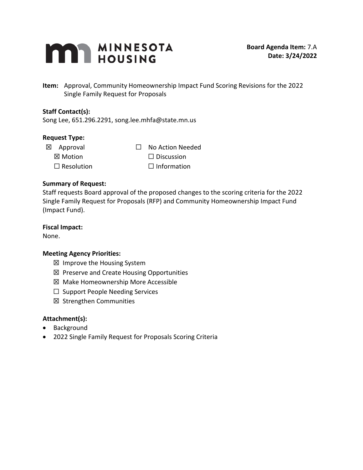

**Item:** Approval, Community Homeownership Impact Fund Scoring Revisions for the 2022 Single Family Request for Proposals

#### **Staff Contact(s):**

Song Lee, 651.296.2291, song.lee.mhfa@state.mn.us

#### **Request Type:**

- -
	-
- ☒ Approval ☐ No Action Needed  $\boxtimes$  Motion  $\Box$  Discussion  $\Box$  Resolution  $\Box$  Information

#### **Summary of Request:**

Staff requests Board approval of the proposed changes to the scoring criteria for the 2022 Single Family Request for Proposals (RFP) and Community Homeownership Impact Fund (Impact Fund).

#### **Fiscal Impact:**

None.

## **Meeting Agency Priorities:**

- ☒ Improve the Housing System
- ☒ Preserve and Create Housing Opportunities
- ☒ Make Homeownership More Accessible
- ☐ Support People Needing Services
- ☒ Strengthen Communities

#### **Attachment(s):**

- Background
- 2022 Single Family Request for Proposals Scoring Criteria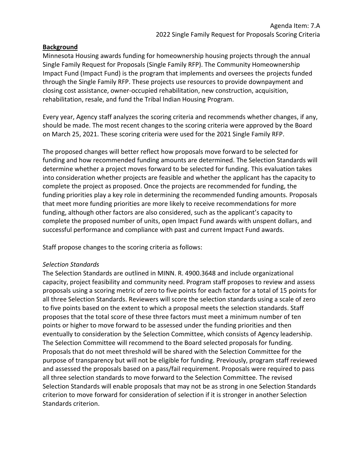#### **Background**

Minnesota Housing awards funding for homeownership housing projects through the annual Single Family Request for Proposals (Single Family RFP). The Community Homeownership Impact Fund (Impact Fund) is the program that implements and oversees the projects funded through the Single Family RFP. These projects use resources to provide downpayment and closing cost assistance, owner-occupied rehabilitation, new construction, acquisition, rehabilitation, resale, and fund the Tribal Indian Housing Program.

Every year, Agency staff analyzes the scoring criteria and recommends whether changes, if any, should be made. The most recent changes to the scoring criteria were approved by the Board on March 25, 2021. These scoring criteria were used for the 2021 Single Family RFP.

The proposed changes will better reflect how proposals move forward to be selected for funding and how recommended funding amounts are determined. The Selection Standards will determine whether a project moves forward to be selected for funding. This evaluation takes into consideration whether projects are feasible and whether the applicant has the capacity to complete the project as proposed. Once the projects are recommended for funding, the funding priorities play a key role in determining the recommended funding amounts. Proposals that meet more funding priorities are more likely to receive recommendations for more funding, although other factors are also considered, such as the applicant's capacity to complete the proposed number of units, open Impact Fund awards with unspent dollars, and successful performance and compliance with past and current Impact Fund awards.

Staff propose changes to the scoring criteria as follows:

#### *Selection Standards*

The Selection Standards are outlined in MINN. R. 4900.3648 and include organizational capacity, project feasibility and community need. Program staff proposes to review and assess proposals using a scoring metric of zero to five points for each factor for a total of 15 points for all three Selection Standards. Reviewers will score the selection standards using a scale of zero to five points based on the extent to which a proposal meets the selection standards. Staff proposes that the total score of these three factors must meet a minimum number of ten points or higher to move forward to be assessed under the funding priorities and then eventually to consideration by the Selection Committee, which consists of Agency leadership. The Selection Committee will recommend to the Board selected proposals for funding. Proposals that do not meet threshold will be shared with the Selection Committee for the purpose of transparency but will not be eligible for funding. Previously, program staff reviewed and assessed the proposals based on a pass/fail requirement. Proposals were required to pass all three selection standards to move forward to the Selection Committee. The revised Selection Standards will enable proposals that may not be as strong in one Selection Standards criterion to move forward for consideration of selection if it is stronger in another Selection Standards criterion.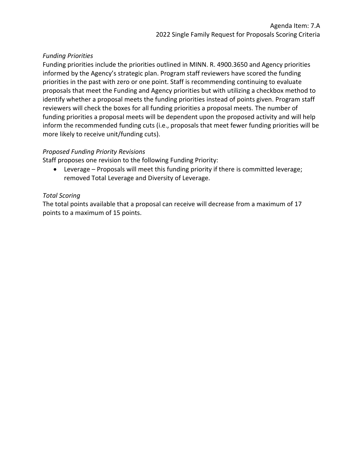## *Funding Priorities*

Funding priorities include the priorities outlined in MINN. R. 4900.3650 and Agency priorities informed by the Agency's strategic plan. Program staff reviewers have scored the funding priorities in the past with zero or one point. Staff is recommending continuing to evaluate proposals that meet the Funding and Agency priorities but with utilizing a checkbox method to identify whether a proposal meets the funding priorities instead of points given. Program staff reviewers will check the boxes for all funding priorities a proposal meets. The number of funding priorities a proposal meets will be dependent upon the proposed activity and will help inform the recommended funding cuts (i.e., proposals that meet fewer funding priorities will be more likely to receive unit/funding cuts).

### *Proposed Funding Priority Revisions*

Staff proposes one revision to the following Funding Priority:

• Leverage – Proposals will meet this funding priority if there is committed leverage; removed Total Leverage and Diversity of Leverage.

### *Total Scoring*

The total points available that a proposal can receive will decrease from a maximum of 17 points to a maximum of 15 points.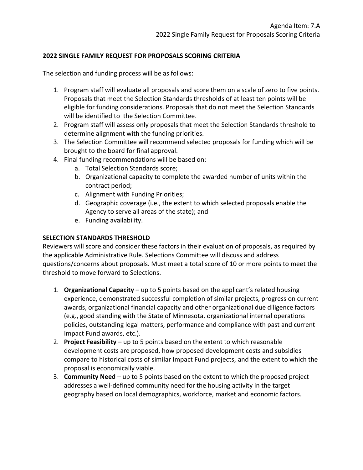## **2022 SINGLE FAMILY REQUEST FOR PROPOSALS SCORING CRITERIA**

The selection and funding process will be as follows:

- 1. Program staff will evaluate all proposals and score them on a scale of zero to five points. Proposals that meet the Selection Standards thresholds of at least ten points will be eligible for funding considerations. Proposals that do not meet the Selection Standards will be identified to the Selection Committee.
- 2. Program staff will assess only proposals that meet the Selection Standards threshold to determine alignment with the funding priorities.
- 3. The Selection Committee will recommend selected proposals for funding which will be brought to the board for final approval.
- 4. Final funding recommendations will be based on:
	- a. Total Selection Standards score;
	- b. Organizational capacity to complete the awarded number of units within the contract period;
	- c. Alignment with Funding Priorities;
	- d. Geographic coverage (i.e., the extent to which selected proposals enable the Agency to serve all areas of the state); and
	- e. Funding availability.

## **SELECTION STANDARDS THRESHOLD**

Reviewers will score and consider these factors in their evaluation of proposals, as required by the applicable Administrative Rule. Selections Committee will discuss and address questions/concerns about proposals. Must meet a total score of 10 or more points to meet the threshold to move forward to Selections.

- 1. **Organizational Capacity** up to 5 points based on the applicant's related housing experience, demonstrated successful completion of similar projects, progress on current awards, organizational financial capacity and other organizational due diligence factors (e.g., good standing with the State of Minnesota, organizational internal operations policies, outstanding legal matters, performance and compliance with past and current Impact Fund awards, etc.).
- 2. **Project Feasibility** up to 5 points based on the extent to which reasonable development costs are proposed, how proposed development costs and subsidies compare to historical costs of similar Impact Fund projects, and the extent to which the proposal is economically viable.
- 3. **Community Need** up to 5 points based on the extent to which the proposed project addresses a well-defined community need for the housing activity in the target geography based on local demographics, workforce, market and economic factors.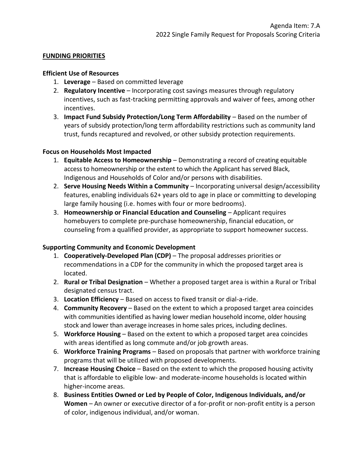## **FUNDING PRIORITIES**

#### **Efficient Use of Resources**

- 1. **Leverage** Based on committed leverage
- 2. **Regulatory Incentive** Incorporating cost savings measures through regulatory incentives, such as fast-tracking permitting approvals and waiver of fees, among other incentives.
- 3. **Impact Fund Subsidy Protection/Long Term Affordability** Based on the number of years of subsidy protection/long term affordability restrictions such as community land trust, funds recaptured and revolved, or other subsidy protection requirements.

### **Focus on Households Most Impacted**

- 1. **Equitable Access to Homeownership** Demonstrating a record of creating equitable access to homeownership or the extent to which the Applicant has served Black, Indigenous and Households of Color and/or persons with disabilities.
- 2. **Serve Housing Needs Within a Community** Incorporating universal design/accessibility features, enabling individuals 62+ years old to age in place or committing to developing large family housing (i.e. homes with four or more bedrooms).
- 3. **Homeownership or Financial Education and Counseling** Applicant requires homebuyers to complete pre-purchase homeownership, financial education, or counseling from a qualified provider, as appropriate to support homeowner success.

## **Supporting Community and Economic Development**

- 1. **Cooperatively-Developed Plan (CDP)**  The proposal addresses priorities or recommendations in a CDP for the community in which the proposed target area is located.
- 2. **Rural or Tribal Designation** Whether a proposed target area is within a Rural or Tribal designated census tract.
- 3. **Location Efficiency** Based on access to fixed transit or dial-a-ride.
- 4. **Community Recovery**  Based on the extent to which a proposed target area coincides with communities identified as having lower median household income, older housing stock and lower than average increases in home sales prices, including declines.
- 5. **Workforce Housing** Based on the extent to which a proposed target area coincides with areas identified as long commute and/or job growth areas.
- 6. **Workforce Training Programs** Based on proposals that partner with workforce training programs that will be utilized with proposed developments.
- 7. **Increase Housing Choice** Based on the extent to which the proposed housing activity that is affordable to eligible low- and moderate-income households is located within higher-income areas.
- 8. **Business Entities Owned or Led by People of Color, Indigenous Individuals, and/or Women** – An owner or executive director of a for-profit or non-profit entity is a person of color, indigenous individual, and/or woman.